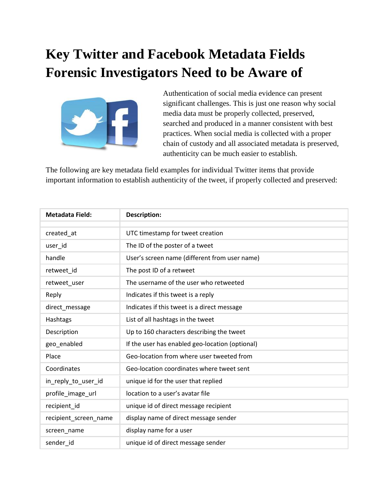## **Key Twitter and Facebook Metadata Fields Forensic Investigators Need to be Aware of**



Authentication of social media evidence can present significant challenges. This is just one reason why social media data must be properly collected, preserved, searched and produced in a manner consistent with best practices. When social media is collected with a proper chain of custody and all associated metadata is preserved, authenticity can be much easier to establish.

The following are key metadata field examples for individual Twitter items that provide important information to establish authenticity of the tweet, if properly collected and preserved:

| <b>Metadata Field:</b> | <b>Description:</b>                             |
|------------------------|-------------------------------------------------|
|                        |                                                 |
| created at             | UTC timestamp for tweet creation                |
| user id                | The ID of the poster of a tweet                 |
| handle                 | User's screen name (different from user name)   |
| retweet_id             | The post ID of a retweet                        |
| retweet_user           | The username of the user who retweeted          |
| Reply                  | Indicates if this tweet is a reply              |
| direct_message         | Indicates if this tweet is a direct message     |
| Hashtags               | List of all hashtags in the tweet               |
| Description            | Up to 160 characters describing the tweet       |
| geo_enabled            | If the user has enabled geo-location (optional) |
| Place                  | Geo-location from where user tweeted from       |
| Coordinates            | Geo-location coordinates where tweet sent       |
| in_reply_to_user_id    | unique id for the user that replied             |
| profile_image_url      | location to a user's avatar file                |
| recipient id           | unique id of direct message recipient           |
| recipient screen name  | display name of direct message sender           |
| screen_name            | display name for a user                         |
| sender id              | unique id of direct message sender              |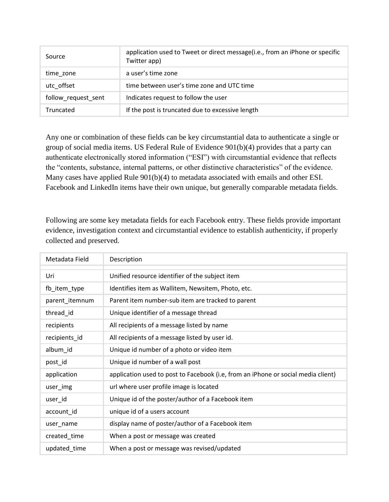| Source              | application used to Tweet or direct message(i.e., from an iPhone or specific<br>Twitter app) |
|---------------------|----------------------------------------------------------------------------------------------|
| time zone           | a user's time zone                                                                           |
| utc offset          | time between user's time zone and UTC time                                                   |
| follow request sent | Indicates request to follow the user                                                         |
| Truncated           | If the post is truncated due to excessive length                                             |

Any one or combination of these fields can be key circumstantial data to authenticate a single or group of social media items. US Federal Rule of Evidence 901(b)(4) provides that a party can authenticate electronically stored information ("ESI") with circumstantial evidence that reflects the "contents, substance, internal patterns, or other distinctive characteristics" of the evidence. Many cases have applied Rule 901(b)(4) to metadata associated with emails and other ESI. Facebook and LinkedIn items have their own unique, but generally comparable metadata fields.

Following are some key metadata fields for each Facebook entry. These fields provide important evidence, investigation context and circumstantial evidence to establish authenticity, if properly collected and preserved.

| Metadata Field | Description                                                                       |
|----------------|-----------------------------------------------------------------------------------|
|                |                                                                                   |
| Uri            | Unified resource identifier of the subject item                                   |
| fb_item_type   | Identifies item as Wallitem, Newsitem, Photo, etc.                                |
| parent_itemnum | Parent item number-sub item are tracked to parent                                 |
| thread_id      | Unique identifier of a message thread                                             |
| recipients     | All recipients of a message listed by name                                        |
| recipients_id  | All recipients of a message listed by user id.                                    |
| album_id       | Unique id number of a photo or video item                                         |
| post_id        | Unique id number of a wall post                                                   |
| application    | application used to post to Facebook (i.e, from an iPhone or social media client) |
| user_img       | url where user profile image is located                                           |
| user_id        | Unique id of the poster/author of a Facebook item                                 |
| account_id     | unique id of a users account                                                      |
| user_name      | display name of poster/author of a Facebook item                                  |
| created_time   | When a post or message was created                                                |
| updated time   | When a post or message was revised/updated                                        |